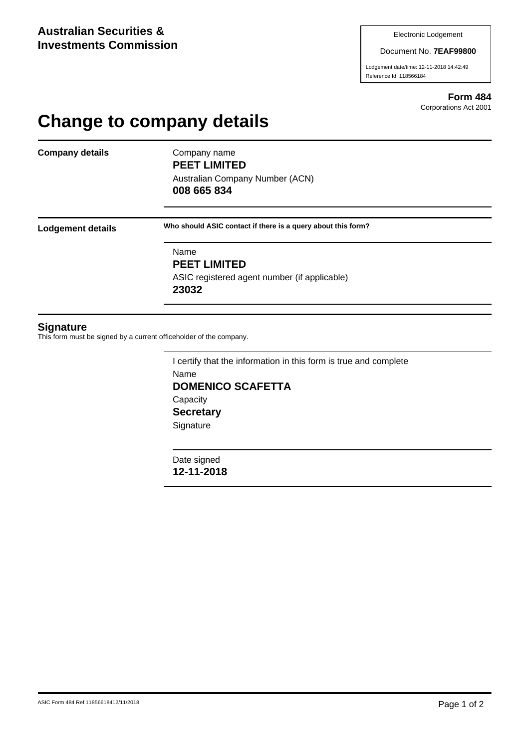Document No. **7EAF99800**

Lodgement date/time: 12-11-2018 14:42:49 Reference Id: 118566184

> **Form 484** Corporations Act 2001

## **Change to company details**

**Company details** Company name

**PEET LIMITED** Australian Company Number (ACN) **008 665 834**

**Lodgement details Who should ASIC contact if there is a query about this form?**

Name **PEET LIMITED** ASIC registered agent number (if applicable) **23032**

## **Signature**

This form must be signed by a current officeholder of the company.

I certify that the information in this form is true and complete Name **DOMENICO SCAFETTA Capacity Secretary Signature** 

Date signed **12-11-2018**